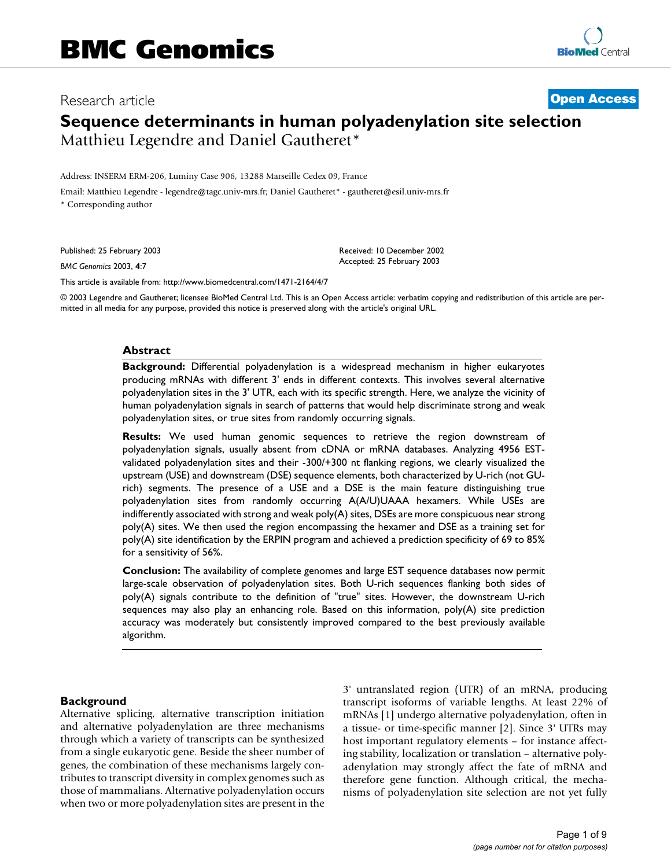# Research article **[Open Access](http://www.biomedcentral.com/info/about/charter/)**

# **Sequence determinants in human polyadenylation site selection** Matthieu Legendre and Daniel Gautheret\*

Address: INSERM ERM-206, Luminy Case 906, 13288 Marseille Cedex 09, France

Email: Matthieu Legendre - legendre@tagc.univ-mrs.fr; Daniel Gautheret\* - gautheret@esil.univ-mrs.fr \* Corresponding author

Published: 25 February 2003

*BMC Genomics* 2003, **4**:7

[This article is available from: http://www.biomedcentral.com/1471-2164/4/7](http://www.biomedcentral.com/1471-2164/4/7)

© 2003 Legendre and Gautheret; licensee BioMed Central Ltd. This is an Open Access article: verbatim copying and redistribution of this article are permitted in all media for any purpose, provided this notice is preserved along with the article's original URL.

Received: 10 December 2002 Accepted: 25 February 2003

### **Abstract**

**Background:** Differential polyadenylation is a widespread mechanism in higher eukaryotes producing mRNAs with different 3' ends in different contexts. This involves several alternative polyadenylation sites in the 3' UTR, each with its specific strength. Here, we analyze the vicinity of human polyadenylation signals in search of patterns that would help discriminate strong and weak polyadenylation sites, or true sites from randomly occurring signals.

**Results:** We used human genomic sequences to retrieve the region downstream of polyadenylation signals, usually absent from cDNA or mRNA databases. Analyzing 4956 ESTvalidated polyadenylation sites and their -300/+300 nt flanking regions, we clearly visualized the upstream (USE) and downstream (DSE) sequence elements, both characterized by U-rich (not GUrich) segments. The presence of a USE and a DSE is the main feature distinguishing true polyadenylation sites from randomly occurring A(A/U)UAAA hexamers. While USEs are indifferently associated with strong and weak poly(A) sites, DSEs are more conspicuous near strong poly(A) sites. We then used the region encompassing the hexamer and DSE as a training set for poly(A) site identification by the ERPIN program and achieved a prediction specificity of 69 to 85% for a sensitivity of 56%.

**Conclusion:** The availability of complete genomes and large EST sequence databases now permit large-scale observation of polyadenylation sites. Both U-rich sequences flanking both sides of poly(A) signals contribute to the definition of "true" sites. However, the downstream U-rich sequences may also play an enhancing role. Based on this information, poly(A) site prediction accuracy was moderately but consistently improved compared to the best previously available algorithm.

### **Background**

Alternative splicing, alternative transcription initiation and alternative polyadenylation are three mechanisms through which a variety of transcripts can be synthesized from a single eukaryotic gene. Beside the sheer number of genes, the combination of these mechanisms largely contributes to transcript diversity in complex genomes such as those of mammalians. Alternative polyadenylation occurs when two or more polyadenylation sites are present in the 3' untranslated region (UTR) of an mRNA, producing transcript isoforms of variable lengths. At least 22% of mRNAs [1] undergo alternative polyadenylation, often in a tissue- or time-specific manner [2]. Since 3' UTRs may host important regulatory elements – for instance affecting stability, localization or translation – alternative polyadenylation may strongly affect the fate of mRNA and therefore gene function. Although critical, the mechanisms of polyadenylation site selection are not yet fully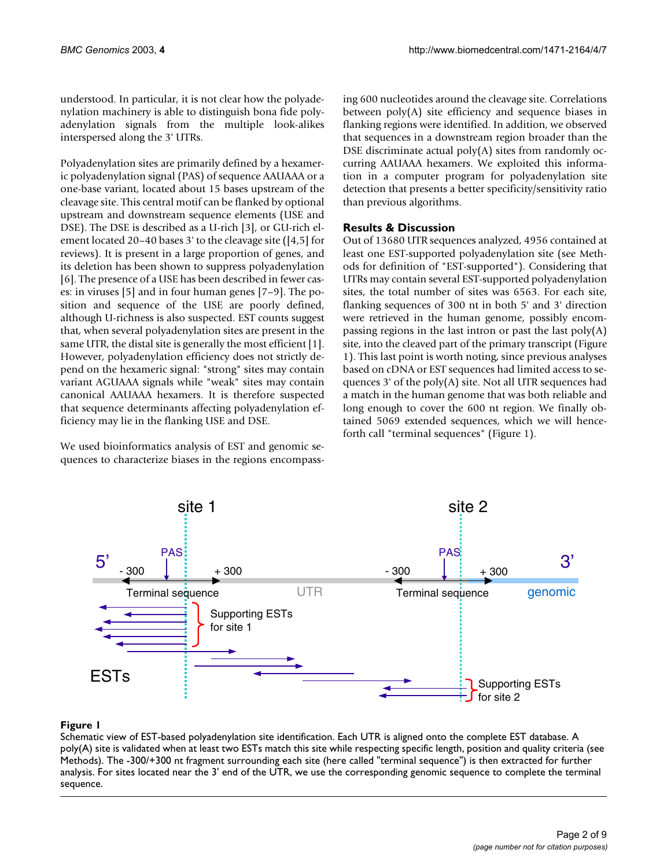understood. In particular, it is not clear how the polyadenylation machinery is able to distinguish bona fide polyadenylation signals from the multiple look-alikes interspersed along the 3' UTRs.

Polyadenylation sites are primarily defined by a hexameric polyadenylation signal (PAS) of sequence AAUAAA or a one-base variant, located about 15 bases upstream of the cleavage site. This central motif can be flanked by optional upstream and downstream sequence elements (USE and DSE). The DSE is described as a U-rich [3], or GU-rich element located 20–40 bases 3' to the cleavage site ([4,5] for reviews). It is present in a large proportion of genes, and its deletion has been shown to suppress polyadenylation [6]. The presence of a USE has been described in fewer cases: in viruses [5] and in four human genes [7–9]. The position and sequence of the USE are poorly defined, although U-richness is also suspected. EST counts suggest that, when several polyadenylation sites are present in the same UTR, the distal site is generally the most efficient [1]. However, polyadenylation efficiency does not strictly depend on the hexameric signal: "strong" sites may contain variant AGUAAA signals while "weak" sites may contain canonical AAUAAA hexamers. It is therefore suspected that sequence determinants affecting polyadenylation efficiency may lie in the flanking USE and DSE.

We used bioinformatics analysis of EST and genomic sequences to characterize biases in the regions encompassing 600 nucleotides around the cleavage site. Correlations between poly(A) site efficiency and sequence biases in flanking regions were identified. In addition, we observed that sequences in a downstream region broader than the DSE discriminate actual poly(A) sites from randomly occurring AAUAAA hexamers. We exploited this information in a computer program for polyadenylation site detection that presents a better specificity/sensitivity ratio than previous algorithms.

# **Results & Discussion**

Out of 13680 UTR sequences analyzed, 4956 contained at least one EST-supported polyadenylation site (see Methods for definition of "EST-supported"). Considering that UTRs may contain several EST-supported polyadenylation sites, the total number of sites was 6563. For each site, flanking sequences of 300 nt in both 5' and 3' direction were retrieved in the human genome, possibly encompassing regions in the last intron or past the last poly(A) site, into the cleaved part of the primary transcript (Figure 1). This last point is worth noting, since previous analyses based on cDNA or EST sequences had limited access to sequences 3' of the poly(A) site. Not all UTR sequences had a match in the human genome that was both reliable and long enough to cover the 600 nt region. We finally obtained 5069 extended sequences, which we will henceforth call "terminal sequences" (Figure 1).



# **Figure 1**

Schematic view of EST-based polyadenylation site identification. Each UTR is aligned onto the complete EST database. A poly(A) site is validated when at least two ESTs match this site while respecting specific length, position and quality criteria (see Methods). The -300/+300 nt fragment surrounding each site (here called "terminal sequence") is then extracted for further analysis. For sites located near the 3' end of the UTR, we use the corresponding genomic sequence to complete the terminal sequence.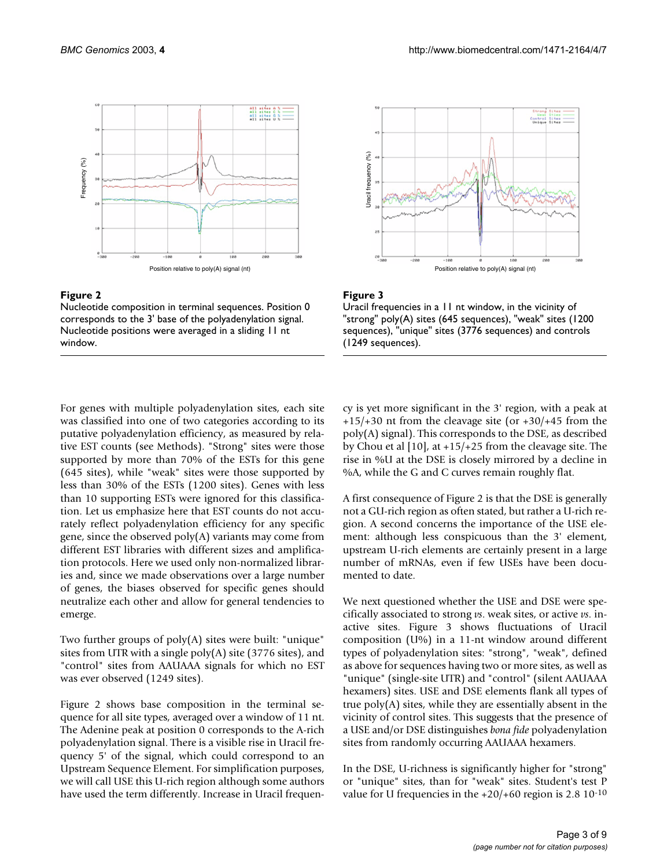



Nucleotide composition in terminal sequences. Position 0 corresponds to the 3' base of the polyadenylation signal. Nucleotide positions were averaged in a sliding 11 nt window.





Uracil frequencies in a 11 nt window, in the vicinity of "strong" poly(A) sites (645 sequences), "weak" sites (1200 sequences), "unique" sites (3776 sequences) and controls (1249 sequences).

For genes with multiple polyadenylation sites, each site was classified into one of two categories according to its putative polyadenylation efficiency, as measured by relative EST counts (see Methods). "Strong" sites were those supported by more than 70% of the ESTs for this gene (645 sites), while "weak" sites were those supported by less than 30% of the ESTs (1200 sites). Genes with less than 10 supporting ESTs were ignored for this classification. Let us emphasize here that EST counts do not accurately reflect polyadenylation efficiency for any specific gene, since the observed poly(A) variants may come from different EST libraries with different sizes and amplification protocols. Here we used only non-normalized libraries and, since we made observations over a large number of genes, the biases observed for specific genes should neutralize each other and allow for general tendencies to emerge.

Two further groups of poly(A) sites were built: "unique" sites from UTR with a single poly(A) site (3776 sites), and "control" sites from AAUAAA signals for which no EST was ever observed (1249 sites).

Figure 2 shows base composition in the terminal sequence for all site types, averaged over a window of 11 nt. The Adenine peak at position 0 corresponds to the A-rich polyadenylation signal. There is a visible rise in Uracil frequency 5' of the signal, which could correspond to an Upstream Sequence Element. For simplification purposes, we will call USE this U-rich region although some authors have used the term differently. Increase in Uracil frequency is yet more significant in the 3' region, with a peak at  $+15/+30$  nt from the cleavage site (or  $+30/+45$  from the poly(A) signal). This corresponds to the DSE, as described by Chou et al [10], at +15/+25 from the cleavage site. The rise in %U at the DSE is closely mirrored by a decline in %A, while the G and C curves remain roughly flat.

A first consequence of Figure 2 is that the DSE is generally not a GU-rich region as often stated, but rather a U-rich region. A second concerns the importance of the USE element: although less conspicuous than the 3' element, upstream U-rich elements are certainly present in a large number of mRNAs, even if few USEs have been documented to date.

We next questioned whether the USE and DSE were specifically associated to strong *vs*. weak sites, or active *vs*. inactive sites. Figure 3 shows fluctuations of Uracil composition (U%) in a 11-nt window around different types of polyadenylation sites: "strong", "weak", defined as above for sequences having two or more sites, as well as "unique" (single-site UTR) and "control" (silent AAUAAA hexamers) sites. USE and DSE elements flank all types of true poly(A) sites, while they are essentially absent in the vicinity of control sites. This suggests that the presence of a USE and/or DSE distinguishes *bona fide* polyadenylation sites from randomly occurring AAUAAA hexamers.

In the DSE, U-richness is significantly higher for "strong" or "unique" sites, than for "weak" sites. Student's test P value for U frequencies in the  $+20/+60$  region is 2.8 10<sup>-10</sup>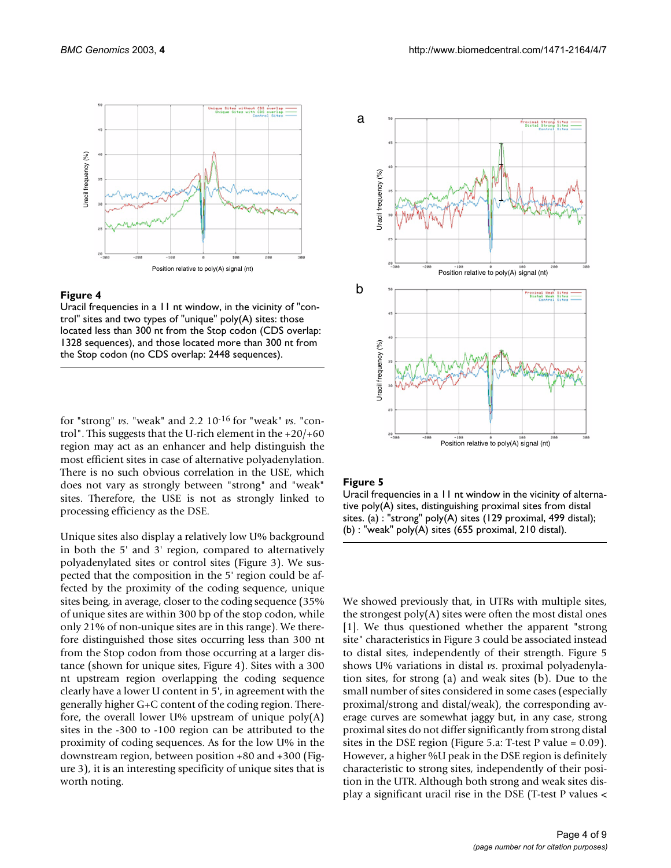

### **Figure 4**

Uracil frequencies in a 11 nt window, in the vicinity of "control" sites and two types of "unique" poly(A) sites: those located less than 300 nt from the Stop codon (CDS overlap: 1328 sequences), and those located more than 300 nt from the Stop codon (no CDS overlap: 2448 sequences).

for "strong" *vs*. "weak" and 2.2 10-16 for "weak" *vs*. "control". This suggests that the U-rich element in the +20/+60 region may act as an enhancer and help distinguish the most efficient sites in case of alternative polyadenylation. There is no such obvious correlation in the USE, which does not vary as strongly between "strong" and "weak" sites. Therefore, the USE is not as strongly linked to processing efficiency as the DSE.

Unique sites also display a relatively low U% background in both the 5' and 3' region, compared to alternatively polyadenylated sites or control sites (Figure 3). We suspected that the composition in the 5' region could be affected by the proximity of the coding sequence, unique sites being, in average, closer to the coding sequence (35% of unique sites are within 300 bp of the stop codon, while only 21% of non-unique sites are in this range). We therefore distinguished those sites occurring less than 300 nt from the Stop codon from those occurring at a larger distance (shown for unique sites, Figure 4). Sites with a 300 nt upstream region overlapping the coding sequence clearly have a lower U content in 5', in agreement with the generally higher G+C content of the coding region. Therefore, the overall lower U% upstream of unique  $poly(A)$ sites in the -300 to -100 region can be attributed to the proximity of coding sequences. As for the low U% in the downstream region, between position +80 and +300 (Figure 3), it is an interesting specificity of unique sites that is worth noting.



### **Figure 5**

Uracil frequencies in a 11 nt window in the vicinity of alternative poly(A) sites, distinguishing proximal sites from distal sites. (a) : "strong" poly(A) sites (129 proximal, 499 distal); (b) : "weak" poly(A) sites (655 proximal, 210 distal).

We showed previously that, in UTRs with multiple sites, the strongest poly(A) sites were often the most distal ones [1]. We thus questioned whether the apparent "strong site" characteristics in Figure 3 could be associated instead to distal sites, independently of their strength. Figure 5 shows U% variations in distal *vs*. proximal polyadenylation sites, for strong (a) and weak sites (b). Due to the small number of sites considered in some cases (especially proximal/strong and distal/weak), the corresponding average curves are somewhat jaggy but, in any case, strong proximal sites do not differ significantly from strong distal sites in the DSE region (Figure 5.a: T-test P value = 0.09). However, a higher %U peak in the DSE region is definitely characteristic to strong sites, independently of their position in the UTR. Although both strong and weak sites display a significant uracil rise in the DSE (T-test P values <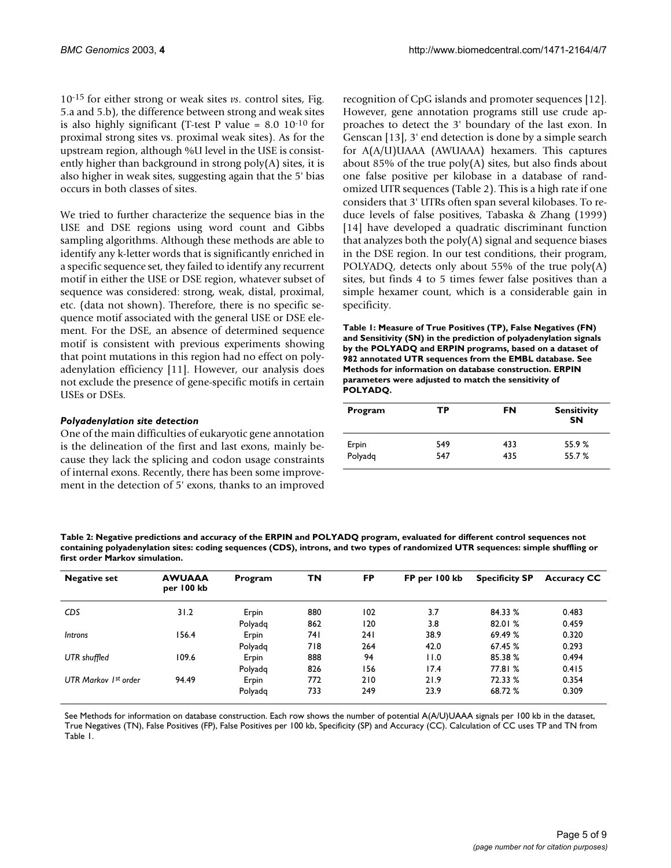10-15 for either strong or weak sites *vs*. control sites, Fig. 5.a and 5.b), the difference between strong and weak sites is also highly significant (T-test P value =  $8.0 \, 10^{-10}$  for proximal strong sites vs. proximal weak sites). As for the upstream region, although %U level in the USE is consistently higher than background in strong poly(A) sites, it is also higher in weak sites, suggesting again that the 5' bias occurs in both classes of sites.

We tried to further characterize the sequence bias in the USE and DSE regions using word count and Gibbs sampling algorithms. Although these methods are able to identify any k-letter words that is significantly enriched in a specific sequence set, they failed to identify any recurrent motif in either the USE or DSE region, whatever subset of sequence was considered: strong, weak, distal, proximal, etc. (data not shown). Therefore, there is no specific sequence motif associated with the general USE or DSE element. For the DSE, an absence of determined sequence motif is consistent with previous experiments showing that point mutations in this region had no effect on polyadenylation efficiency [11]. However, our analysis does not exclude the presence of gene-specific motifs in certain USEs or DSEs.

# *Polyadenylation site detection*

One of the main difficulties of eukaryotic gene annotation is the delineation of the first and last exons, mainly because they lack the splicing and codon usage constraints of internal exons. Recently, there has been some improvement in the detection of 5' exons, thanks to an improved recognition of CpG islands and promoter sequences [12]. However, gene annotation programs still use crude approaches to detect the 3' boundary of the last exon. In Genscan [13], 3' end detection is done by a simple search for A(A/U)UAAA (AWUAAA) hexamers. This captures about 85% of the true  $poly(A)$  sites, but also finds about one false positive per kilobase in a database of randomized UTR sequences (Table [2\)](#page-4-0). This is a high rate if one considers that 3' UTRs often span several kilobases. To reduce levels of false positives, Tabaska & Zhang (1999) [14] have developed a quadratic discriminant function that analyzes both the poly(A) signal and sequence biases in the DSE region. In our test conditions, their program, POLYADQ, detects only about 55% of the true poly(A) sites, but finds 4 to 5 times fewer false positives than a simple hexamer count, which is a considerable gain in specificity.

<span id="page-4-1"></span>**Table 1: Measure of True Positives (TP), False Negatives (FN) and Sensitivity (SN) in the prediction of polyadenylation signals by the POLYADQ and ERPIN programs, based on a dataset of 982 annotated UTR sequences from the EMBL database. See Methods for information on database construction. ERPIN parameters were adjusted to match the sensitivity of POLYADQ.**

| Program | ТP  | FN  | <b>Sensitivity</b><br><b>SN</b> |  |
|---------|-----|-----|---------------------------------|--|
| Erpin   | 549 | 433 | 55.9%                           |  |
| Polyadg | 547 | 435 | 55.7 %                          |  |

<span id="page-4-0"></span>**Table 2: Negative predictions and accuracy of the ERPIN and POLYADQ program, evaluated for different control sequences not containing polyadenylation sites: coding sequences (CDS), introns, and two types of randomized UTR sequences: simple shuffling or first order Markov simulation.**

| <b>Negative set</b>  | <b>AWUAAA</b><br>per 100 kb | Program | ΤN   | <b>FP</b> | FP per 100 kb | <b>Specificity SP</b> | <b>Accuracy CC</b> |
|----------------------|-----------------------------|---------|------|-----------|---------------|-----------------------|--------------------|
| <b>CDS</b>           | 31.2                        | Erpin   | 880  | 102       | 3.7           | 84.33 %               | 0.483              |
|                      |                             | Polyadg | 862  | 120       | 3.8           | 82.01 %               | 0.459              |
| <b>Introns</b>       | 156.4                       | Erpin   | 74 I | 241       | 38.9          | 69.49 %               | 0.320              |
|                      |                             | Polyadg | 718  | 264       | 42.0          | 67.45 %               | 0.293              |
| UTR shuffled         | 109.6                       | Erpin   | 888  | 94        | 11.0          | 85.38%                | 0.494              |
|                      |                             | Polyadg | 826  | 156       | 17.4          | 77.81 %               | 0.415              |
| UTR Markov 1st order | 94.49                       | Erpin   | 772  | 210       | 21.9          | 72.33 %               | 0.354              |
|                      |                             | Polyadg | 733  | 249       | 23.9          | 68.72 %               | 0.309              |

See Methods for information on database construction. Each row shows the number of potential A(A/U)UAAA signals per 100 kb in the dataset, True Negatives (TN), False Positives (FP), False Positives per 100 kb, Specificity (SP) and Accuracy (CC). Calculation of CC uses TP and TN from Table [1.](#page-4-1)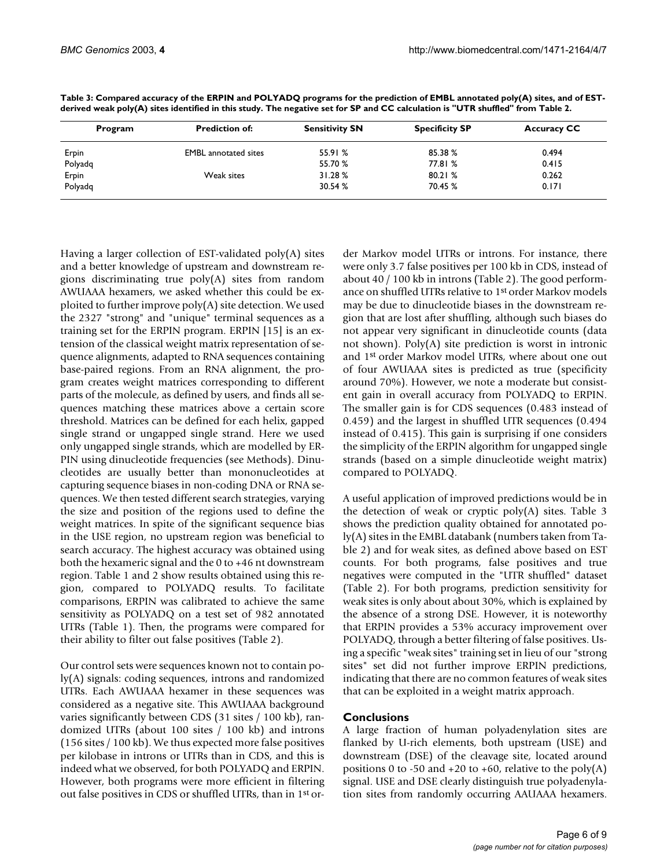| Program | <b>Prediction of:</b>       | <b>Sensitivity SN</b> | <b>Specificity SP</b> | <b>Accuracy CC</b> |
|---------|-----------------------------|-----------------------|-----------------------|--------------------|
| Erpin   | <b>EMBL</b> annotated sites | 55.91%                | 85.38%                | 0.494              |
| Polyadq |                             | 55.70 %               | 77.81 %               | 0.415              |
| Erpin   | Weak sites                  | 31.28%                | 80.21 %               | 0.262              |
| Polyadq |                             | 30.54 %               | 70.45 %               | 0.171              |

<span id="page-5-0"></span>**Table 3: Compared accuracy of the ERPIN and POLYADQ programs for the prediction of EMBL annotated poly(A) sites, and of ESTderived weak poly(A) sites identified in this study. The negative set for SP and CC calculation is "UTR shuffled" from Table [2.](#page-4-0)**

Having a larger collection of EST-validated poly(A) sites and a better knowledge of upstream and downstream regions discriminating true poly(A) sites from random AWUAAA hexamers, we asked whether this could be exploited to further improve poly(A) site detection. We used the 2327 "strong" and "unique" terminal sequences as a training set for the ERPIN program. ERPIN [15] is an extension of the classical weight matrix representation of sequence alignments, adapted to RNA sequences containing base-paired regions. From an RNA alignment, the program creates weight matrices corresponding to different parts of the molecule, as defined by users, and finds all sequences matching these matrices above a certain score threshold. Matrices can be defined for each helix, gapped single strand or ungapped single strand. Here we used only ungapped single strands, which are modelled by ER-PIN using dinucleotide frequencies (see Methods). Dinucleotides are usually better than mononucleotides at capturing sequence biases in non-coding DNA or RNA sequences. We then tested different search strategies, varying the size and position of the regions used to define the weight matrices. In spite of the significant sequence bias in the USE region, no upstream region was beneficial to search accuracy. The highest accuracy was obtained using both the hexameric signal and the 0 to +46 nt downstream region. Table [1](#page-4-1) and [2](#page-4-0) show results obtained using this region, compared to POLYADQ results. To facilitate comparisons, ERPIN was calibrated to achieve the same sensitivity as POLYADQ on a test set of 982 annotated UTRs (Table [1\)](#page-4-1). Then, the programs were compared for their ability to filter out false positives (Table [2](#page-4-0)).

Our control sets were sequences known not to contain poly(A) signals: coding sequences, introns and randomized UTRs. Each AWUAAA hexamer in these sequences was considered as a negative site. This AWUAAA background varies significantly between CDS (31 sites / 100 kb), randomized UTRs (about 100 sites / 100 kb) and introns (156 sites / 100 kb). We thus expected more false positives per kilobase in introns or UTRs than in CDS, and this is indeed what we observed, for both POLYADQ and ERPIN. However, both programs were more efficient in filtering out false positives in CDS or shuffled UTRs, than in 1st order Markov model UTRs or introns. For instance, there were only 3.7 false positives per 100 kb in CDS, instead of about 40 / 100 kb in introns (Table [2\)](#page-4-0). The good performance on shuffled UTRs relative to 1st order Markov models may be due to dinucleotide biases in the downstream region that are lost after shuffling, although such biases do not appear very significant in dinucleotide counts (data not shown). Poly(A) site prediction is worst in intronic and 1st order Markov model UTRs, where about one out of four AWUAAA sites is predicted as true (specificity around 70%). However, we note a moderate but consistent gain in overall accuracy from POLYADQ to ERPIN. The smaller gain is for CDS sequences (0.483 instead of 0.459) and the largest in shuffled UTR sequences (0.494 instead of 0.415). This gain is surprising if one considers the simplicity of the ERPIN algorithm for ungapped single strands (based on a simple dinucleotide weight matrix) compared to POLYADQ.

A useful application of improved predictions would be in the detection of weak or cryptic poly(A) sites. Table [3](#page-5-0) shows the prediction quality obtained for annotated poly(A) sites in the EMBL databank (numbers taken from Table [2](#page-4-0)) and for weak sites, as defined above based on EST counts. For both programs, false positives and true negatives were computed in the "UTR shuffled" dataset (Table [2](#page-4-0)). For both programs, prediction sensitivity for weak sites is only about about 30%, which is explained by the absence of a strong DSE. However, it is noteworthy that ERPIN provides a 53% accuracy improvement over POLYADQ, through a better filtering of false positives. Using a specific "weak sites" training set in lieu of our "strong sites" set did not further improve ERPIN predictions, indicating that there are no common features of weak sites that can be exploited in a weight matrix approach.

# **Conclusions**

A large fraction of human polyadenylation sites are flanked by U-rich elements, both upstream (USE) and downstream (DSE) of the cleavage site, located around positions 0 to -50 and  $+20$  to  $+60$ , relative to the poly(A) signal. USE and DSE clearly distinguish true polyadenylation sites from randomly occurring AAUAAA hexamers.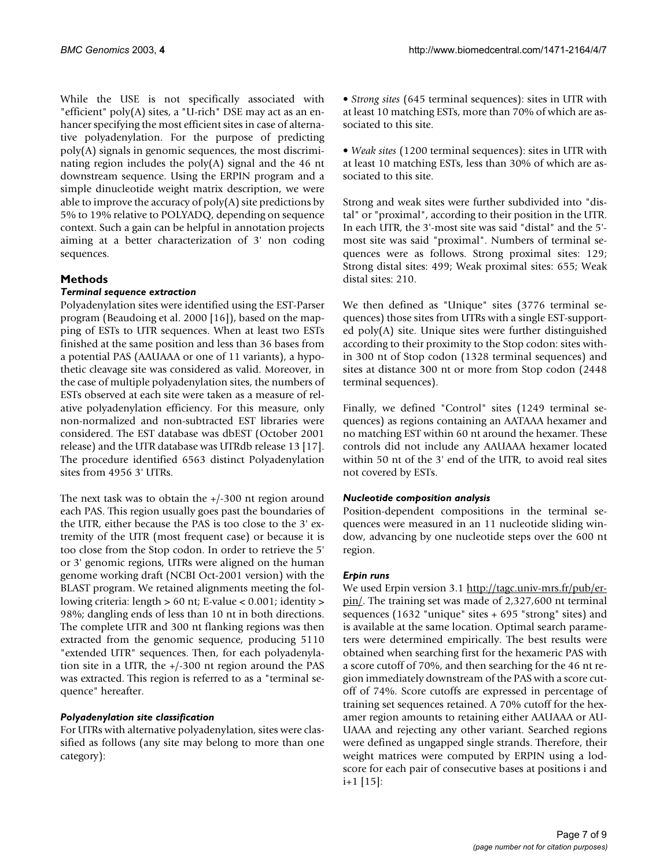While the USE is not specifically associated with "efficient" poly(A) sites, a "U-rich" DSE may act as an enhancer specifying the most efficient sites in case of alternative polyadenylation. For the purpose of predicting poly(A) signals in genomic sequences, the most discriminating region includes the poly(A) signal and the 46 nt downstream sequence. Using the ERPIN program and a simple dinucleotide weight matrix description, we were able to improve the accuracy of  $poly(A)$  site predictions by 5% to 19% relative to POLYADQ, depending on sequence context. Such a gain can be helpful in annotation projects aiming at a better characterization of 3' non coding sequences.

# **Methods**

# *Terminal sequence extraction*

Polyadenylation sites were identified using the EST-Parser program (Beaudoing et al. 2000 [16]), based on the mapping of ESTs to UTR sequences. When at least two ESTs finished at the same position and less than 36 bases from a potential PAS (AAUAAA or one of 11 variants), a hypothetic cleavage site was considered as valid. Moreover, in the case of multiple polyadenylation sites, the numbers of ESTs observed at each site were taken as a measure of relative polyadenylation efficiency. For this measure, only non-normalized and non-subtracted EST libraries were considered. The EST database was dbEST (October 2001 release) and the UTR database was UTRdb release 13 [17]. The procedure identified 6563 distinct Polyadenylation sites from 4956 3' UTRs.

The next task was to obtain the +/-300 nt region around each PAS. This region usually goes past the boundaries of the UTR, either because the PAS is too close to the 3' extremity of the UTR (most frequent case) or because it is too close from the Stop codon. In order to retrieve the 5' or 3' genomic regions, UTRs were aligned on the human genome working draft (NCBI Oct-2001 version) with the BLAST program. We retained alignments meeting the following criteria: length > 60 nt; E-value < 0.001; identity > 98%; dangling ends of less than 10 nt in both directions. The complete UTR and 300 nt flanking regions was then extracted from the genomic sequence, producing 5110 "extended UTR" sequences. Then, for each polyadenylation site in a UTR, the +/-300 nt region around the PAS was extracted. This region is referred to as a "terminal sequence" hereafter.

# *Polyadenylation site classification*

For UTRs with alternative polyadenylation, sites were classified as follows (any site may belong to more than one category):

• *Strong sites* (645 terminal sequences): sites in UTR with at least 10 matching ESTs, more than 70% of which are associated to this site.

• *Weak sites* (1200 terminal sequences): sites in UTR with at least 10 matching ESTs, less than 30% of which are associated to this site.

Strong and weak sites were further subdivided into "distal" or "proximal", according to their position in the UTR. In each UTR, the 3'-most site was said "distal" and the 5' most site was said "proximal". Numbers of terminal sequences were as follows. Strong proximal sites: 129; Strong distal sites: 499; Weak proximal sites: 655; Weak distal sites: 210.

We then defined as "Unique" sites (3776 terminal sequences) those sites from UTRs with a single EST-supported poly(A) site. Unique sites were further distinguished according to their proximity to the Stop codon: sites within 300 nt of Stop codon (1328 terminal sequences) and sites at distance 300 nt or more from Stop codon (2448 terminal sequences).

Finally, we defined "Control" sites (1249 terminal sequences) as regions containing an AATAAA hexamer and no matching EST within 60 nt around the hexamer. These controls did not include any AAUAAA hexamer located within 50 nt of the 3' end of the UTR, to avoid real sites not covered by ESTs.

# *Nucleotide composition analysis*

Position-dependent compositions in the terminal sequences were measured in an 11 nucleotide sliding window, advancing by one nucleotide steps over the 600 nt region.

# *Erpin runs*

We used Erpin version 3.1 [http://tagc.univ-mrs.fr/pub/er](http://tagc.univ-mrs.fr/pub/erpin/)[pin/.](http://tagc.univ-mrs.fr/pub/erpin/) The training set was made of 2,327,600 nt terminal sequences (1632 "unique" sites + 695 "strong" sites) and is available at the same location. Optimal search parameters were determined empirically. The best results were obtained when searching first for the hexameric PAS with a score cutoff of 70%, and then searching for the 46 nt region immediately downstream of the PAS with a score cutoff of 74%. Score cutoffs are expressed in percentage of training set sequences retained. A 70% cutoff for the hexamer region amounts to retaining either AAUAAA or AU-UAAA and rejecting any other variant. Searched regions were defined as ungapped single strands. Therefore, their weight matrices were computed by ERPIN using a lodscore for each pair of consecutive bases at positions i and  $i+1$  [15]: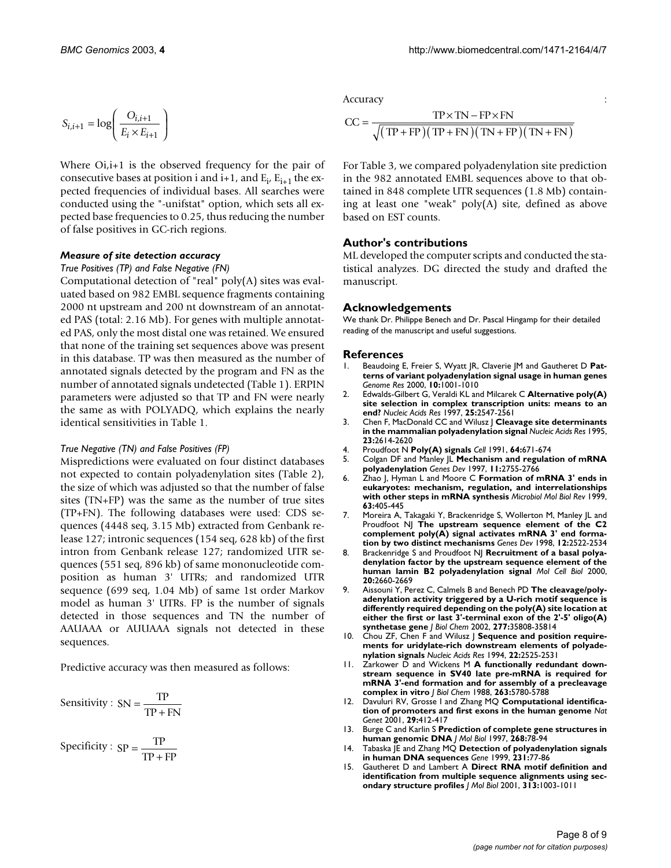$$
S_{i,i+1} = \log \left( \frac{O_{i,i+1}}{E_i \times E_{i+1}} \right)
$$

Where Oi, i+1 is the observed frequency for the pair of consecutive bases at position i and  $i+1$ , and  $E_i$ ,  $E_{i+1}$  the expected frequencies of individual bases. All searches were conducted using the "-unifstat" option, which sets all expected base frequencies to 0.25, thus reducing the number of false positives in GC-rich regions.

### *Measure of site detection accuracy*

*True Positives (TP) and False Negative (FN)*

Computational detection of "real" poly(A) sites was evaluated based on 982 EMBL sequence fragments containing 2000 nt upstream and 200 nt downstream of an annotated PAS (total: 2.16 Mb). For genes with multiple annotated PAS, only the most distal one was retained. We ensured that none of the training set sequences above was present in this database. TP was then measured as the number of annotated signals detected by the program and FN as the number of annotated signals undetected (Table [1\)](#page-4-1). ERPIN parameters were adjusted so that TP and FN were nearly the same as with POLYADQ, which explains the nearly identical sensitivities in Table [1](#page-4-1).

### *True Negative (TN) and False Positives (FP)*

Mispredictions were evaluated on four distinct databases not expected to contain polyadenylation sites (Table [2\)](#page-4-0), the size of which was adjusted so that the number of false sites (TN+FP) was the same as the number of true sites (TP+FN). The following databases were used: CDS sequences (4448 seq, 3.15 Mb) extracted from Genbank release 127; intronic sequences (154 seq, 628 kb) of the first intron from Genbank release 127; randomized UTR sequences (551 seq, 896 kb) of same mononucleotide composition as human 3' UTRs; and randomized UTR sequence (699 seq, 1.04 Mb) of same 1st order Markov model as human 3' UTRs. FP is the number of signals detected in those sequences and TN the number of AAUAAA or AUUAAA signals not detected in these sequences.

Predictive accuracy was then measured as follows:

Sensitivity :  $SN = \frac{TP}{TP + FN}$ 

Specificity :  $SP = \frac{TP}{TP + FP}$ 

Accuracy is a set of the set of the set of the set of the set of the set of the set of the set of the set of the set of the set of the set of the set of the set of the set of the set of the set of the set of the set of the

$$
CC = \frac{TP \times TN - FP \times FN}{\sqrt{(TP + FP)(TP + FN)(TN + FP)(TN + FN)}}
$$

For Table [3,](#page-5-0) we compared polyadenylation site prediction in the 982 annotated EMBL sequences above to that obtained in 848 complete UTR sequences (1.8 Mb) containing at least one "weak" poly(A) site, defined as above based on EST counts.

### **Author's contributions**

ML developed the computer scripts and conducted the statistical analyzes. DG directed the study and drafted the manuscript.

#### **Acknowledgements**

We thank Dr. Philippe Benech and Dr. Pascal Hingamp for their detailed reading of the manuscript and useful suggestions.

#### **References**

- 1. Beaudoing E, Freier S, Wyatt JR, Claverie JM and Gautheret D **[Pat](http://www.ncbi.nlm.nih.gov/entrez/query.fcgi?cmd=Retrieve&db=PubMed&dopt=Abstract&list_uids=10899149)[terns of variant polyadenylation signal usage in human genes](http://www.ncbi.nlm.nih.gov/entrez/query.fcgi?cmd=Retrieve&db=PubMed&dopt=Abstract&list_uids=10899149)** *Genome Res* 2000, **10:**1001-1010
- 2. Edwalds-Gilbert G, Veraldi KL and Milcarek C **[Alternative poly\(A\)](http://www.ncbi.nlm.nih.gov/entrez/query.fcgi?cmd=Retrieve&db=PubMed&dopt=Abstract&list_uids=9185563) [site selection in complex transcription units: means to an](http://www.ncbi.nlm.nih.gov/entrez/query.fcgi?cmd=Retrieve&db=PubMed&dopt=Abstract&list_uids=9185563) [end?](http://www.ncbi.nlm.nih.gov/entrez/query.fcgi?cmd=Retrieve&db=PubMed&dopt=Abstract&list_uids=9185563)** *Nucleic Acids Res* 1997, **25:**2547-2561
- 3. Chen F, MacDonald CC and Wilusz J **[Cleavage site determinants](http://www.ncbi.nlm.nih.gov/entrez/query.fcgi?cmd=Retrieve&db=PubMed&dopt=Abstract&list_uids=7651822) [in the mammalian polyadenylation signal](http://www.ncbi.nlm.nih.gov/entrez/query.fcgi?cmd=Retrieve&db=PubMed&dopt=Abstract&list_uids=7651822)** *Nucleic Acids Res* 1995, **23:**2614-2620
- 4. Proudfoot N **[Poly\(A\) signals](http://www.ncbi.nlm.nih.gov/entrez/query.fcgi?cmd=Retrieve&db=PubMed&dopt=Abstract&list_uids=1671760)** *Cell* 1991, **64:**671-674
- 5. Colgan DF and Manley JL **[Mechanism and regulation of mRNA](http://www.ncbi.nlm.nih.gov/entrez/query.fcgi?cmd=Retrieve&db=PubMed&dopt=Abstract&list_uids=9353246) [polyadenylation](http://www.ncbi.nlm.nih.gov/entrez/query.fcgi?cmd=Retrieve&db=PubMed&dopt=Abstract&list_uids=9353246)** *Genes Dev* 1997, **11:**2755-2766
- 6. Zhao J, Hyman L and Moore C **[Formation of mRNA 3' ends in](http://www.ncbi.nlm.nih.gov/entrez/query.fcgi?cmd=Retrieve&db=PubMed&dopt=Abstract&list_uids=98971) [eukaryotes: mechanism, regulation, and interrelationships](http://www.ncbi.nlm.nih.gov/entrez/query.fcgi?cmd=Retrieve&db=PubMed&dopt=Abstract&list_uids=98971) [with other steps in mRNA synthesis](http://www.ncbi.nlm.nih.gov/entrez/query.fcgi?cmd=Retrieve&db=PubMed&dopt=Abstract&list_uids=98971)** *Microbiol Mol Biol Rev* 1999, **63:**405-445
- 7. Moreira A, Takagaki Y, Brackenridge S, Wollerton M, Manley JL and Proudfoot NJ **[The upstream sequence element of the C2](http://www.ncbi.nlm.nih.gov/entrez/query.fcgi?cmd=Retrieve&db=PubMed&dopt=Abstract&list_uids=9716405) [complement poly\(A\) signal activates mRNA 3' end forma](http://www.ncbi.nlm.nih.gov/entrez/query.fcgi?cmd=Retrieve&db=PubMed&dopt=Abstract&list_uids=9716405)[tion by two distinct mechanisms](http://www.ncbi.nlm.nih.gov/entrez/query.fcgi?cmd=Retrieve&db=PubMed&dopt=Abstract&list_uids=9716405)** *Genes Dev* 1998, **12:**2522-2534
- 8. Brackenridge S and Proudfoot NJ **[Recruitment of a basal polya](http://www.ncbi.nlm.nih.gov/entrez/query.fcgi?cmd=Retrieve&db=PubMed&dopt=Abstract&list_uids=10733568)[denylation factor by the upstream sequence element of the](http://www.ncbi.nlm.nih.gov/entrez/query.fcgi?cmd=Retrieve&db=PubMed&dopt=Abstract&list_uids=10733568) [human lamin B2 polyadenylation signal](http://www.ncbi.nlm.nih.gov/entrez/query.fcgi?cmd=Retrieve&db=PubMed&dopt=Abstract&list_uids=10733568)** *Mol Cell Biol* 2000, **20:**2660-2669
- 9. Aissouni Y, Perez C, Calmels B and Benech PD **[The cleavage/poly](http://www.ncbi.nlm.nih.gov/entrez/query.fcgi?cmd=Retrieve&db=PubMed&dopt=Abstract&list_uids=12082089)[adenylation activity triggered by a U-rich motif sequence is](http://www.ncbi.nlm.nih.gov/entrez/query.fcgi?cmd=Retrieve&db=PubMed&dopt=Abstract&list_uids=12082089) differently required depending on the poly(A) site location at either the first or last 3'-terminal exon of the 2'-5' oligo(A) [synthetase gene](http://www.ncbi.nlm.nih.gov/entrez/query.fcgi?cmd=Retrieve&db=PubMed&dopt=Abstract&list_uids=12082089)** *J Biol Chem* 2002, **277:**35808-35814
- 10. Chou ZF, Chen F and Wilusz | [Sequence and position require](http://www.ncbi.nlm.nih.gov/entrez/query.fcgi?cmd=Retrieve&db=PubMed&dopt=Abstract&list_uids=7518915)**[ments for uridylate-rich downstream elements of polyade](http://www.ncbi.nlm.nih.gov/entrez/query.fcgi?cmd=Retrieve&db=PubMed&dopt=Abstract&list_uids=7518915)[nylation signals](http://www.ncbi.nlm.nih.gov/entrez/query.fcgi?cmd=Retrieve&db=PubMed&dopt=Abstract&list_uids=7518915)** *Nucleic Acids Res* 1994, **22:**2525-2531
- 11. Zarkower D and Wickens M **[A functionally redundant down](http://www.ncbi.nlm.nih.gov/entrez/query.fcgi?cmd=Retrieve&db=PubMed&dopt=Abstract&list_uids=2833517)[stream sequence in SV40 late pre-mRNA is required for](http://www.ncbi.nlm.nih.gov/entrez/query.fcgi?cmd=Retrieve&db=PubMed&dopt=Abstract&list_uids=2833517) mRNA 3'-end formation and for assembly of a precleavage [complex in vitro](http://www.ncbi.nlm.nih.gov/entrez/query.fcgi?cmd=Retrieve&db=PubMed&dopt=Abstract&list_uids=2833517)** *J Biol Chem* 1988, **263:**5780-5788
- 12. Davuluri RV, Grosse I and Zhang MQ **[Computational identifica](http://www.ncbi.nlm.nih.gov/entrez/query.fcgi?cmd=Retrieve&db=PubMed&dopt=Abstract&list_uids=11726928)[tion of promoters and first exons in the human genome](http://www.ncbi.nlm.nih.gov/entrez/query.fcgi?cmd=Retrieve&db=PubMed&dopt=Abstract&list_uids=11726928)** *Nat Genet* 2001, **29:**412-417
- 13. Burge C and Karlin S **[Prediction of complete gene structures in](http://www.ncbi.nlm.nih.gov/entrez/query.fcgi?cmd=Retrieve&db=PubMed&dopt=Abstract&list_uids=9149143) [human genomic DNA](http://www.ncbi.nlm.nih.gov/entrez/query.fcgi?cmd=Retrieve&db=PubMed&dopt=Abstract&list_uids=9149143)** *J Mol Biol* 1997, **268:**78-94
- 14. Tabaska JE and Zhang MQ **[Detection of polyadenylation signals](http://www.ncbi.nlm.nih.gov/entrez/query.fcgi?cmd=Retrieve&db=PubMed&dopt=Abstract&list_uids=10231571) [in human DNA sequences](http://www.ncbi.nlm.nih.gov/entrez/query.fcgi?cmd=Retrieve&db=PubMed&dopt=Abstract&list_uids=10231571)** *Gene* 1999, **231:**77-86
- 15. Gautheret D and Lambert A **[Direct RNA motif definition and](http://www.ncbi.nlm.nih.gov/entrez/query.fcgi?cmd=Retrieve&db=PubMed&dopt=Abstract&list_uids=11700055) [identification from multiple sequence alignments using sec](http://www.ncbi.nlm.nih.gov/entrez/query.fcgi?cmd=Retrieve&db=PubMed&dopt=Abstract&list_uids=11700055)[ondary structure profiles](http://www.ncbi.nlm.nih.gov/entrez/query.fcgi?cmd=Retrieve&db=PubMed&dopt=Abstract&list_uids=11700055)** *J Mol Biol* 2001, **313:**1003-1011